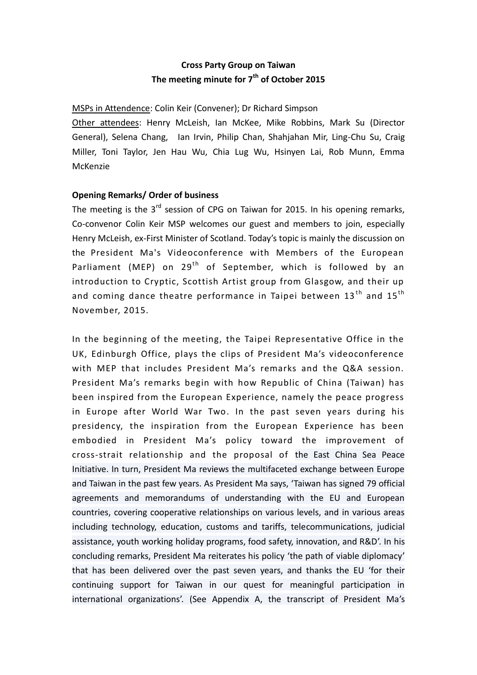# **Cross Party Group on Taiwan The meeting minute for 7 th of October 2015**

## MSPs in Attendence: Colin Keir (Convener); Dr Richard Simpson

Other attendees: Henry McLeish, Ian McKee, Mike Robbins, Mark Su (Director General), Selena Chang, Ian Irvin, Philip Chan, Shahjahan Mir, Ling-Chu Su, Craig Miller, Toni Taylor, Jen Hau Wu, Chia Lug Wu, Hsinyen Lai, Rob Munn, Emma McKenzie

# **Opening Remarks/ Order of business**

The meeting is the  $3<sup>rd</sup>$  session of CPG on Taiwan for 2015. In his opening remarks, Co-convenor Colin Keir MSP welcomes our guest and members to join, especially Henry McLeish, ex-First Minister of Scotland. Today's topic is mainly the discussion on the President Ma's Videoconference with Members of the European Parliament (MEP) on 29<sup>th</sup> of September, which is followed by an introduction to Cryptic, Scottish Artist group from Glasgow, and their up and coming dance theatre performance in Taipei between  $13<sup>th</sup>$  and  $15<sup>th</sup>$ November, 2015.

In the beginning of the meeting, the Taipei Representative Office in the UK, Edinburgh Office, plays the clips of President Ma's videoconference with MEP that includes President Ma's remarks and the Q&A session. President Ma's remarks begin with how Republic of China (Taiwan) has been inspired from the European Experience, namely the peace progress in Europe after World War Two. In the past seven years during his presidency, the inspiration from the European Experience has been embodied in President Ma's policy toward the improvement of cross-strait relationship and the proposal of the East China Sea Peace Initiative. In turn, President Ma reviews the multifaceted exchange between Europe and Taiwan in the past few years. As President Ma says, 'Taiwan has signed 79 official agreements and memorandums of understanding with the EU and European countries, covering cooperative relationships on various levels, and in various areas including technology, education, customs and tariffs, telecommunications, judicial assistance, youth working holiday programs, food safety, innovation, and R&D'. In his concluding remarks, President Ma reiterates his policy 'the path of viable diplomacy' that has been delivered over the past seven years, and thanks the EU 'for their continuing support for Taiwan in our quest for meaningful participation in international organizations'. (See Appendix A, the transcript of President Ma's